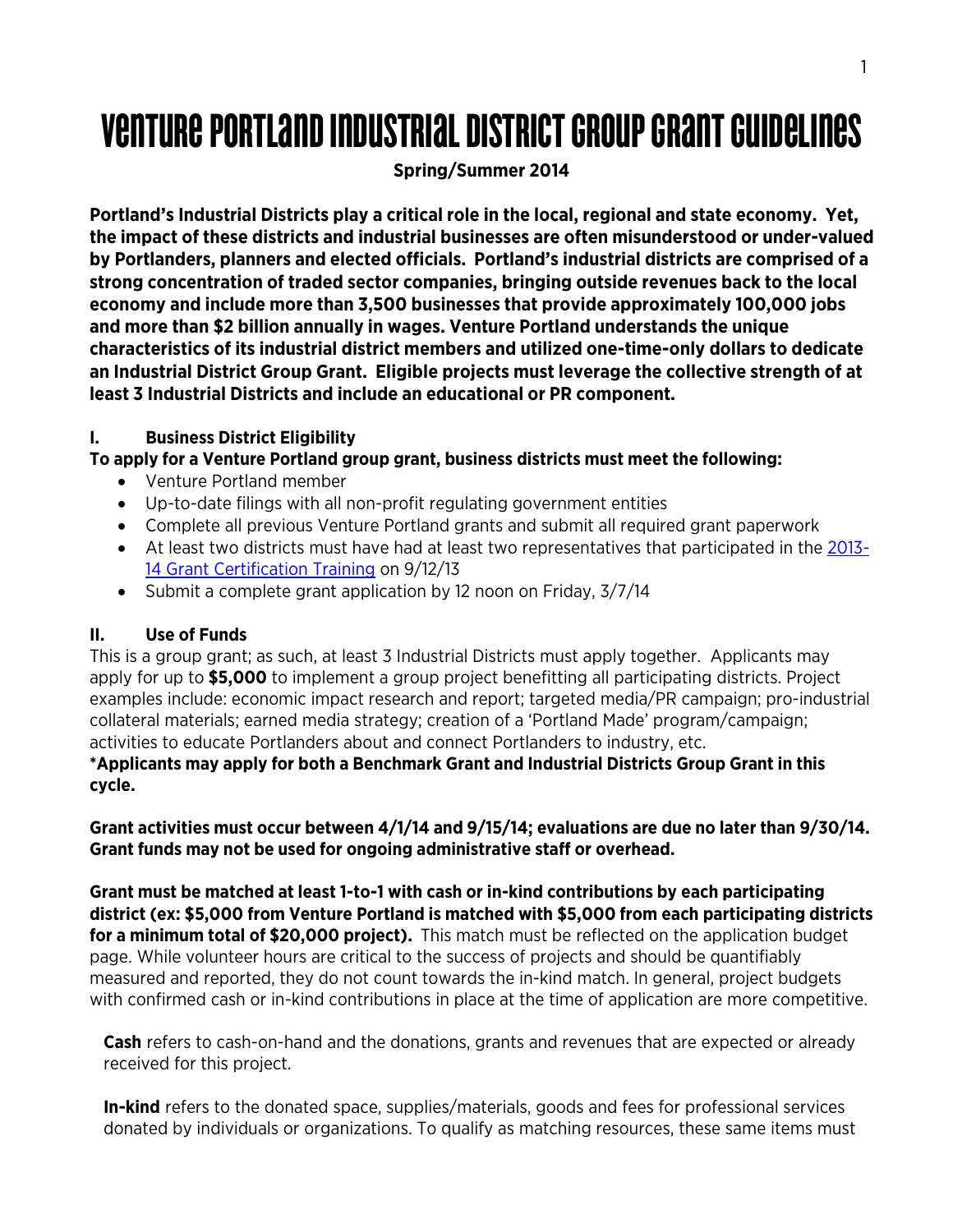# Venture Portland industrial district groupgrant guidelines

# **Spring/Summer 2014**

**Portland's Industrial Districts play a critical role in the local, regional and state economy. Yet, the impact of these districts and industrial businesses are often misunderstood or under-valued by Portlanders, planners and elected officials. Portland's industrial districts are comprised of a strong concentration of traded sector companies, bringing outside revenues back to the local economy and include more than 3,500 businesses that provide approximately 100,000 jobs and more than \$2 billion annually in wages. Venture Portland understands the unique characteristics of its industrial district members and utilized one-time-only dollars to dedicate an Industrial District Group Grant. Eligible projects must leverage the collective strength of at least 3 Industrial Districts and include an educational or PR component.** 

# **I. Business District Eligibility**

# **To apply for a Venture Portland group grant, business districts must meet the following:**

- Venture Portland member
- Up-to-date filings with all non-profit regulating government entities
- Complete all previous Venture Portland grants and submit all required grant paperwork
- At least two districts must have had at least two representatives that participated in the [2013-](http://ventureportland.org/venture-out/grants-certification-training-09-12-2013/) 14 [Grant Certification Training](http://ventureportland.org/venture-out/grants-certification-training-09-12-2013/) on 9/12/13
- Submit a complete grant application by 12 noon on Friday,  $3/7/14$

## **II. Use of Funds**

This is a group grant; as such, at least 3 Industrial Districts must apply together. Applicants may apply for up to **\$5,000** to implement a group project benefitting all participating districts. Project examples include: economic impact research and report; targeted media/PR campaign; pro-industrial collateral materials; earned media strategy; creation of a 'Portland Made' program/campaign; activities to educate Portlanders about and connect Portlanders to industry, etc.

#### **\*Applicants may apply for both a Benchmark Grant and Industrial Districts Group Grant in this cycle.**

**Grant activities must occur between 4/1/14 and 9/15/14; evaluations are due no later than 9/30/14. Grant funds may not be used for ongoing administrative staff or overhead.** 

**Grant must be matched at least 1-to-1 with cash or in-kind contributions by each participating district (ex: \$5,000 from Venture Portland is matched with \$5,000 from each participating districts for a minimum total of \$20,000 project).** This match must be reflected on the application budget page. While volunteer hours are critical to the success of projects and should be quantifiably measured and reported, they do not count towards the in-kind match. In general, project budgets with confirmed cash or in-kind contributions in place at the time of application are more competitive.

**Cash** refers to cash-on-hand and the donations, grants and revenues that are expected or already received for this project.

**In-kind** refers to the donated space, supplies/materials, goods and fees for professional services donated by individuals or organizations. To qualify as matching resources, these same items must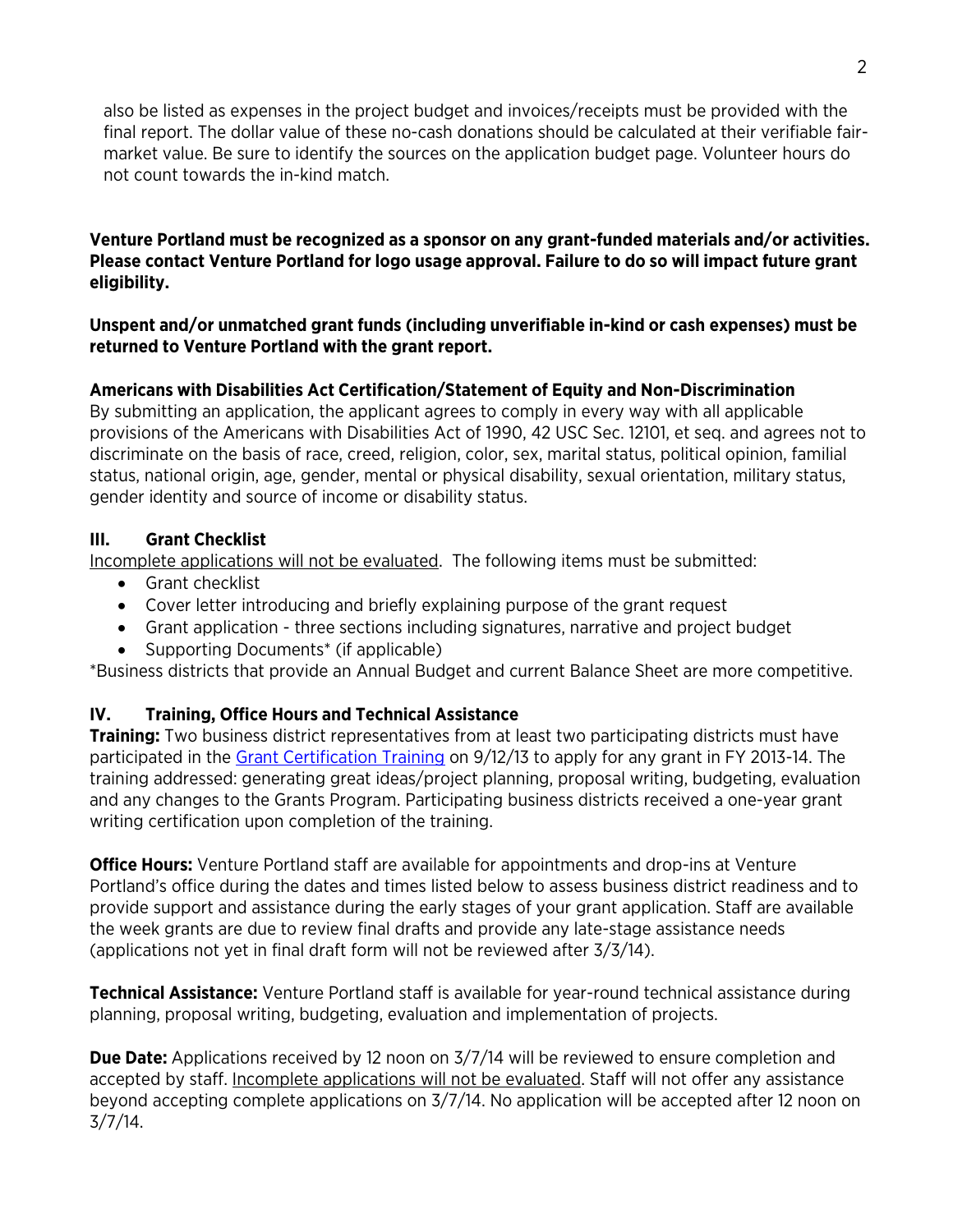also be listed as expenses in the project budget and invoices/receipts must be provided with the final report. The dollar value of these no-cash donations should be calculated at their verifiable fairmarket value. Be sure to identify the sources on the application budget page. Volunteer hours do not count towards the in-kind match.

**Venture Portland must be recognized as a sponsor on any grant-funded materials and/or activities. Please contact Venture Portland for logo usage approval. Failure to do so will impact future grant eligibility.**

#### **Unspent and/or unmatched grant funds (including unverifiable in-kind or cash expenses) must be returned to Venture Portland with the grant report.**

## **Americans with Disabilities Act Certification/Statement of Equity and Non-Discrimination**

By submitting an application, the applicant agrees to comply in every way with all applicable provisions of the Americans with Disabilities Act of 1990, 42 USC Sec. 12101, et seq. and agrees not to discriminate on the basis of race, creed, religion, color, sex, marital status, political opinion, familial status, national origin, age, gender, mental or physical disability, sexual orientation, military status, gender identity and source of income or disability status.

#### **III. Grant Checklist**

Incomplete applications will not be evaluated. The following items must be submitted:

- Grant checklist
- Cover letter introducing and briefly explaining purpose of the grant request
- Grant application three sections including signatures, narrative and project budget
- Supporting Documents<sup>\*</sup> (if applicable)

\*Business districts that provide an Annual Budget and current Balance Sheet are more competitive.

## **IV. Training, Office Hours and Technical Assistance**

**Training:** Two business district representatives from at least two participating districts must have participated in the [Grant Certification Training](http://ventureportland.org/venture-out/grants-certification-training-09-12-2013/) on 9/12/13 to apply for any grant in FY 2013-14. The training addressed: generating great ideas/project planning, proposal writing, budgeting, evaluation and any changes to the Grants Program. Participating business districts received a one-year grant writing certification upon completion of the training.

**Office Hours:** Venture Portland staff are available for appointments and drop-ins at Venture Portland's office during the dates and times listed below to assess business district readiness and to provide support and assistance during the early stages of your grant application. Staff are available the week grants are due to review final drafts and provide any late-stage assistance needs (applications not yet in final draft form will not be reviewed after 3/3/14).

**Technical Assistance:** Venture Portland staff is available for year-round technical assistance during planning, proposal writing, budgeting, evaluation and implementation of projects.

**Due Date:** Applications received by 12 noon on 3/7/14 will be reviewed to ensure completion and accepted by staff. Incomplete applications will not be evaluated. Staff will not offer any assistance beyond accepting complete applications on 3/7/14. No application will be accepted after 12 noon on 3/7/14.